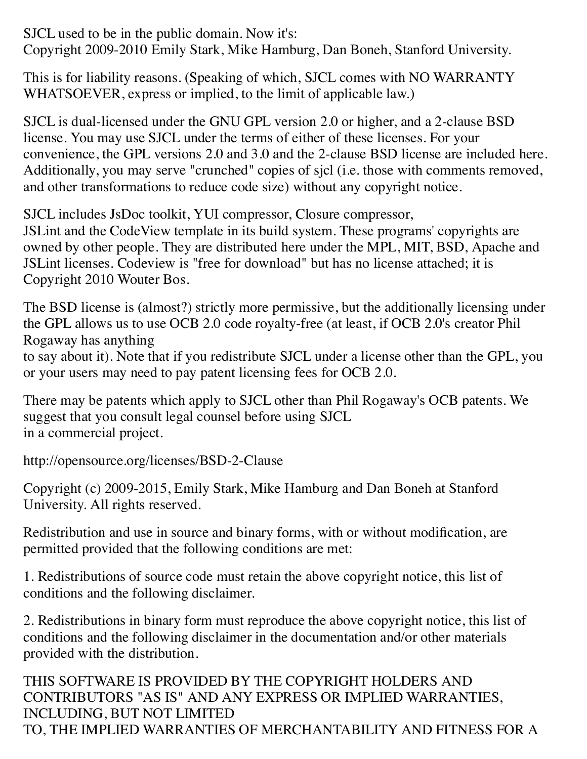SJCL used to be in the public domain. Now it's: Copyright 2009-2010 Emily Stark, Mike Hamburg, Dan Boneh, Stanford University.

This is for liability reasons. (Speaking of which, SJCL comes with NO WARRANTY WHATSOEVER, express or implied, to the limit of applicable law.)

SJCL is dual-licensed under the GNU GPL version 2.0 or higher, and a 2-clause BSD license. You may use SJCL under the terms of either of these licenses. For your convenience, the GPL versions 2.0 and 3.0 and the 2-clause BSD license are included here. Additionally, you may serve "crunched" copies of sjcl (i.e. those with comments removed, and other transformations to reduce code size) without any copyright notice.

SJCL includes JsDoc toolkit, YUI compressor, Closure compressor,

JSLint and the CodeView template in its build system. These programs' copyrights are owned by other people. They are distributed here under the MPL, MIT, BSD, Apache and JSLint licenses. Codeview is "free for download" but has no license attached; it is Copyright 2010 Wouter Bos.

The BSD license is (almost?) strictly more permissive, but the additionally licensing under the GPL allows us to use OCB 2.0 code royalty-free (at least, if OCB 2.0's creator Phil Rogaway has anything to say about it). Note that if you redistribute SJCL under a license other than the GPL, you

or your users may need to pay patent licensing fees for OCB 2.0.

There may be patents which apply to SJCL other than Phil Rogaway's OCB patents. We suggest that you consult legal counsel before using SJCL in a commercial project.

http://opensource.org/licenses/BSD-2-Clause

Copyright (c) 2009-2015, Emily Stark, Mike Hamburg and Dan Boneh at Stanford University. All rights reserved.

Redistribution and use in source and binary forms, with or without modification, are permitted provided that the following conditions are met:

1. Redistributions of source code must retain the above copyright notice, this list of conditions and the following disclaimer.

2. Redistributions in binary form must reproduce the above copyright notice, this list of conditions and the following disclaimer in the documentation and/or other materials provided with the distribution.

THIS SOFTWARE IS PROVIDED BY THE COPYRIGHT HOLDERS AND CONTRIBUTORS "AS IS" AND ANY EXPRESS OR IMPLIED WARRANTIES, INCLUDING, BUT NOT LIMITED TO, THE IMPLIED WARRANTIES OF MERCHANTABILITY AND FITNESS FOR A